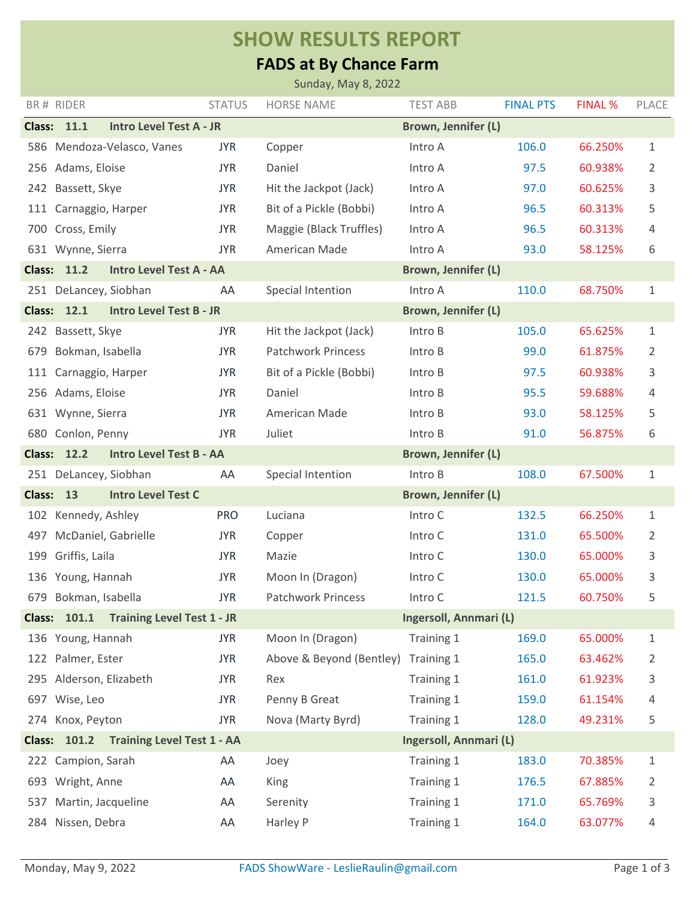## **SHOW RESULTS REPORT**

## **FADS at By Chance Farm**

|                                                                                |                         |                                   |               | Sunday, May 8, 2022       |                            |                  |                |       |  |
|--------------------------------------------------------------------------------|-------------------------|-----------------------------------|---------------|---------------------------|----------------------------|------------------|----------------|-------|--|
|                                                                                | BR# RIDER               |                                   | <b>STATUS</b> | <b>HORSE NAME</b>         | <b>TEST ABB</b>            | <b>FINAL PTS</b> | <b>FINAL %</b> | PLACE |  |
|                                                                                | <b>Class: 11.1</b>      | <b>Intro Level Test A - JR</b>    |               |                           | Brown, Jennifer (L)        |                  |                |       |  |
| 586                                                                            |                         | Mendoza-Velasco, Vanes            | <b>JYR</b>    | Copper                    | Intro A                    | 106.0            | 66.250%        | 1     |  |
| 256                                                                            | Adams, Eloise           |                                   | <b>JYR</b>    | Daniel                    | Intro A                    | 97.5             | 60.938%        | 2     |  |
| 242                                                                            | Bassett, Skye           |                                   | <b>JYR</b>    | Hit the Jackpot (Jack)    | Intro A                    | 97.0             | 60.625%        | 3     |  |
| 111                                                                            | Carnaggio, Harper       |                                   | <b>JYR</b>    | Bit of a Pickle (Bobbi)   | Intro A                    | 96.5             | 60.313%        | 5     |  |
| 700                                                                            | Cross, Emily            |                                   | <b>JYR</b>    | Maggie (Black Truffles)   | Intro A                    | 96.5             | 60.313%        | 4     |  |
|                                                                                | 631 Wynne, Sierra       |                                   | <b>JYR</b>    | American Made             | Intro A                    | 93.0             | 58.125%        | 6     |  |
|                                                                                | <b>Class: 11.2</b>      | <b>Intro Level Test A - AA</b>    |               |                           | <b>Brown, Jennifer (L)</b> |                  |                |       |  |
|                                                                                | 251 DeLancey, Siobhan   |                                   | AA            | Special Intention         | Intro A                    | 110.0            | 68.750%        | 1     |  |
|                                                                                | <b>Class: 12.1</b>      | <b>Intro Level Test B - JR</b>    |               |                           | Brown, Jennifer (L)        |                  |                |       |  |
|                                                                                | 242 Bassett, Skye       |                                   | <b>JYR</b>    | Hit the Jackpot (Jack)    | Intro B                    | 105.0            | 65.625%        | 1     |  |
| 679                                                                            | Bokman, Isabella        |                                   | <b>JYR</b>    | <b>Patchwork Princess</b> | Intro B                    | 99.0             | 61.875%        | 2     |  |
| 111                                                                            | Carnaggio, Harper       |                                   | <b>JYR</b>    | Bit of a Pickle (Bobbi)   | Intro B                    | 97.5             | 60.938%        | 3     |  |
|                                                                                | 256 Adams, Eloise       |                                   | <b>JYR</b>    | Daniel                    | Intro B                    | 95.5             | 59.688%        | 4     |  |
|                                                                                | 631 Wynne, Sierra       |                                   | <b>JYR</b>    | American Made             | Intro B                    | 93.0             | 58.125%        | 5     |  |
|                                                                                | 680 Conlon, Penny       |                                   | <b>JYR</b>    | Juliet                    | Intro B                    | 91.0             | 56.875%        | 6     |  |
| <b>Class:</b>                                                                  | 12.2                    | <b>Intro Level Test B - AA</b>    |               |                           | <b>Brown, Jennifer (L)</b> |                  |                |       |  |
|                                                                                | 251 DeLancey, Siobhan   |                                   | AA            | Special Intention         | Intro B                    | 108.0            | 67.500%        | 1     |  |
| <b>Intro Level Test C</b><br><b>Class:</b><br>13<br><b>Brown, Jennifer (L)</b> |                         |                                   |               |                           |                            |                  |                |       |  |
| 102                                                                            | Kennedy, Ashley         |                                   | <b>PRO</b>    | Luciana                   | Intro C                    | 132.5            | 66.250%        | 1     |  |
| 497                                                                            | McDaniel, Gabrielle     |                                   | <b>JYR</b>    | Copper                    | Intro C                    | 131.0            | 65.500%        | 2     |  |
| 199                                                                            | Griffis, Laila          |                                   | <b>JYR</b>    | Mazie                     | Intro C                    | 130.0            | 65.000%        | 3     |  |
|                                                                                | 136 Young, Hannah       |                                   | <b>JYR</b>    | Moon In (Dragon)          | Intro C                    | 130.0            | 65.000%        | 3     |  |
|                                                                                | 679 Bokman, Isabella    |                                   | <b>JYR</b>    | <b>Patchwork Princess</b> | Intro C                    | 121.5            | 60.750%        | 5     |  |
|                                                                                | <b>Class: 101.1</b>     | <b>Training Level Test 1 - JR</b> |               | Ingersoll, Annmari (L)    |                            |                  |                |       |  |
|                                                                                | 136 Young, Hannah       |                                   | <b>JYR</b>    | Moon In (Dragon)          | Training 1                 | 169.0            | 65.000%        | 1     |  |
|                                                                                | 122 Palmer, Ester       |                                   | <b>JYR</b>    | Above & Beyond (Bentley)  | Training 1                 | 165.0            | 63.462%        | 2     |  |
|                                                                                | 295 Alderson, Elizabeth |                                   | <b>JYR</b>    | Rex                       | Training 1                 | 161.0            | 61.923%        | 3     |  |
|                                                                                | 697 Wise, Leo           |                                   | <b>JYR</b>    | Penny B Great             | Training 1                 | 159.0            | 61.154%        | 4     |  |
|                                                                                | 274 Knox, Peyton        |                                   | <b>JYR</b>    | Nova (Marty Byrd)         | Training 1                 | 128.0            | 49.231%        | 5     |  |
| Class: 101.2 Training Level Test 1 - AA<br>Ingersoll, Annmari (L)              |                         |                                   |               |                           |                            |                  |                |       |  |
| 222                                                                            | Campion, Sarah          |                                   | AA            | Joey                      | Training 1                 | 183.0            | 70.385%        | 1     |  |
|                                                                                | 693 Wright, Anne        |                                   | AA            | King                      | Training 1                 | 176.5            | 67.885%        | 2     |  |
| 537                                                                            | Martin, Jacqueline      |                                   | AA            | Serenity                  | Training 1                 | 171.0            | 65.769%        | 3     |  |
| 284                                                                            | Nissen, Debra           |                                   | AA            | Harley P                  | Training 1                 | 164.0            | 63.077%        | 4     |  |
|                                                                                |                         |                                   |               |                           |                            |                  |                |       |  |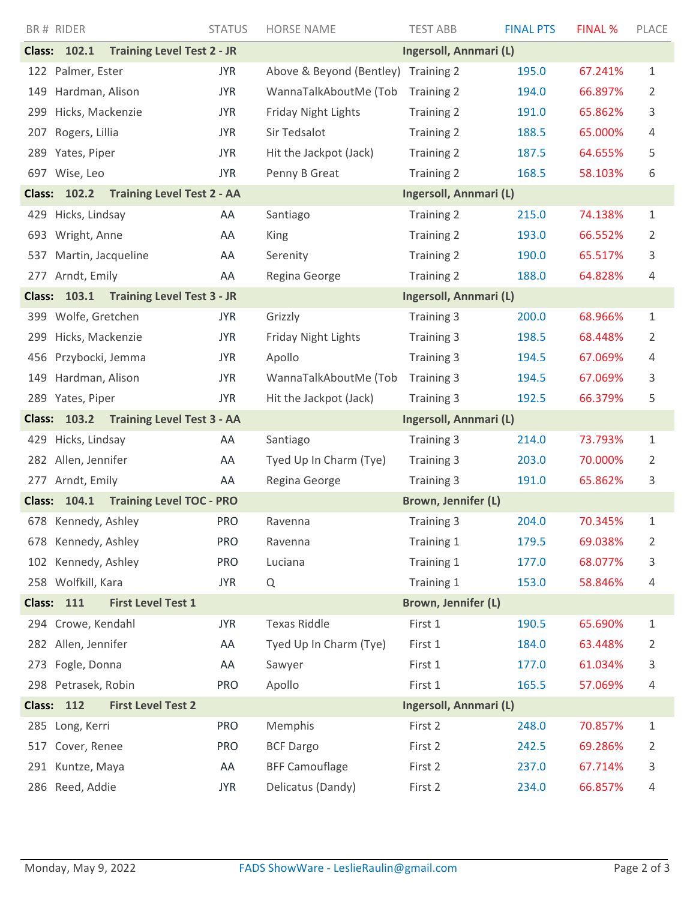|                                                                             | BR# RIDER                                                | <b>STATUS</b> | <b>HORSE NAME</b>          | <b>TEST ABB</b>        | <b>FINAL PTS</b> | <b>FINAL %</b> | PLACE |  |
|-----------------------------------------------------------------------------|----------------------------------------------------------|---------------|----------------------------|------------------------|------------------|----------------|-------|--|
|                                                                             | <b>Class: 102.1</b><br><b>Training Level Test 2 - JR</b> |               |                            | Ingersoll, Annmari (L) |                  |                |       |  |
|                                                                             | 122 Palmer, Ester                                        | <b>JYR</b>    | Above & Beyond (Bentley)   | Training 2             | 195.0            | 67.241%        | 1     |  |
| 149                                                                         | Hardman, Alison                                          | <b>JYR</b>    | WannaTalkAboutMe (Tob      | Training 2             | 194.0            | 66.897%        | 2     |  |
| 299                                                                         | Hicks, Mackenzie                                         | <b>JYR</b>    | <b>Friday Night Lights</b> | <b>Training 2</b>      | 191.0            | 65.862%        | 3     |  |
| 207                                                                         | Rogers, Lillia                                           | <b>JYR</b>    | Sir Tedsalot               | Training 2             | 188.5            | 65.000%        | 4     |  |
| 289                                                                         | Yates, Piper                                             | <b>JYR</b>    | Hit the Jackpot (Jack)     | Training 2             | 187.5            | 64.655%        | 5     |  |
|                                                                             | 697 Wise, Leo                                            | <b>JYR</b>    | Penny B Great              | <b>Training 2</b>      | 168.5            | 58.103%        | 6     |  |
|                                                                             | <b>Class: 102.2</b><br><b>Training Level Test 2 - AA</b> |               | Ingersoll, Annmari (L)     |                        |                  |                |       |  |
| 429                                                                         | Hicks, Lindsay                                           | AA            | Santiago                   | <b>Training 2</b>      | 215.0            | 74.138%        | 1     |  |
| 693                                                                         | Wright, Anne                                             | AA            | King                       | <b>Training 2</b>      | 193.0            | 66.552%        | 2     |  |
| 537                                                                         | Martin, Jacqueline                                       | AA            | Serenity                   | Training 2             | 190.0            | 65.517%        | 3     |  |
|                                                                             | 277 Arndt, Emily                                         | AA            | Regina George              | <b>Training 2</b>      | 188.0            | 64.828%        | 4     |  |
|                                                                             | Class: 103.1 Training Level Test 3 - JR                  |               |                            | Ingersoll, Annmari (L) |                  |                |       |  |
|                                                                             | 399 Wolfe, Gretchen                                      | <b>JYR</b>    | Grizzly                    | Training 3             | 200.0            | 68.966%        | 1     |  |
| 299                                                                         | Hicks, Mackenzie                                         | <b>JYR</b>    | <b>Friday Night Lights</b> | Training 3             | 198.5            | 68.448%        | 2     |  |
| 456                                                                         | Przybocki, Jemma                                         | <b>JYR</b>    | Apollo                     | Training 3             | 194.5            | 67.069%        | 4     |  |
| 149                                                                         | Hardman, Alison                                          | <b>JYR</b>    | WannaTalkAboutMe (Tob      | Training 3             | 194.5            | 67.069%        | 3     |  |
|                                                                             | 289 Yates, Piper                                         | <b>JYR</b>    | Hit the Jackpot (Jack)     | <b>Training 3</b>      | 192.5            | 66.379%        | 5     |  |
| Class: 103.2 Training Level Test 3 - AA                                     |                                                          |               | Ingersoll, Annmari (L)     |                        |                  |                |       |  |
| 429                                                                         | Hicks, Lindsay                                           | AA            | Santiago                   | Training 3             | 214.0            | 73.793%        | 1     |  |
|                                                                             | 282 Allen, Jennifer                                      | AA            | Tyed Up In Charm (Tye)     | Training 3             | 203.0            | 70.000%        | 2     |  |
|                                                                             | 277 Arndt, Emily                                         | AA            | Regina George              | Training 3             | 191.0            | 65.862%        | 3     |  |
|                                                                             | <b>Training Level TOC - PRO</b><br><b>Class: 104.1</b>   |               |                            | Brown, Jennifer (L)    |                  |                |       |  |
|                                                                             | 678 Kennedy, Ashley                                      | <b>PRO</b>    | Ravenna                    | <b>Training 3</b>      | 204.0            | 70.345%        | 1     |  |
|                                                                             | 678 Kennedy, Ashley                                      | <b>PRO</b>    | Ravenna                    | Training 1             | 179.5            | 69.038%        | 2     |  |
| 102                                                                         | Kennedy, Ashley                                          | <b>PRO</b>    | Luciana                    | Training 1             | 177.0            | 68.077%        | 3     |  |
|                                                                             | 258 Wolfkill, Kara                                       | <b>JYR</b>    | Q                          | Training 1             | 153.0            | 58.846%        | 4     |  |
| <b>Class: 111</b><br><b>First Level Test 1</b><br>Brown, Jennifer (L)       |                                                          |               |                            |                        |                  |                |       |  |
|                                                                             | 294 Crowe, Kendahl                                       | <b>JYR</b>    | <b>Texas Riddle</b>        | First 1                | 190.5            | 65.690%        | 1     |  |
|                                                                             | 282 Allen, Jennifer                                      | AA            | Tyed Up In Charm (Tye)     | First 1                | 184.0            | 63.448%        | 2     |  |
| 273                                                                         | Fogle, Donna                                             | AA            | Sawyer                     | First 1                | 177.0            | 61.034%        | 3     |  |
|                                                                             | 298 Petrasek, Robin                                      | <b>PRO</b>    | Apollo                     | First 1                | 165.5            | 57.069%        | 4     |  |
| <b>First Level Test 2</b><br>112<br>Ingersoll, Annmari (L)<br><b>Class:</b> |                                                          |               |                            |                        |                  |                |       |  |
|                                                                             | 285 Long, Kerri                                          | <b>PRO</b>    | Memphis                    | First 2                | 248.0            | 70.857%        | 1     |  |
| 517                                                                         | Cover, Renee                                             | <b>PRO</b>    | <b>BCF Dargo</b>           | First 2                | 242.5            | 69.286%        | 2     |  |
| 291                                                                         | Kuntze, Maya                                             | AA            | <b>BFF Camouflage</b>      | First 2                | 237.0            | 67.714%        | 3     |  |
|                                                                             | 286 Reed, Addie                                          | <b>JYR</b>    | Delicatus (Dandy)          | First 2                | 234.0            | 66.857%        | 4     |  |